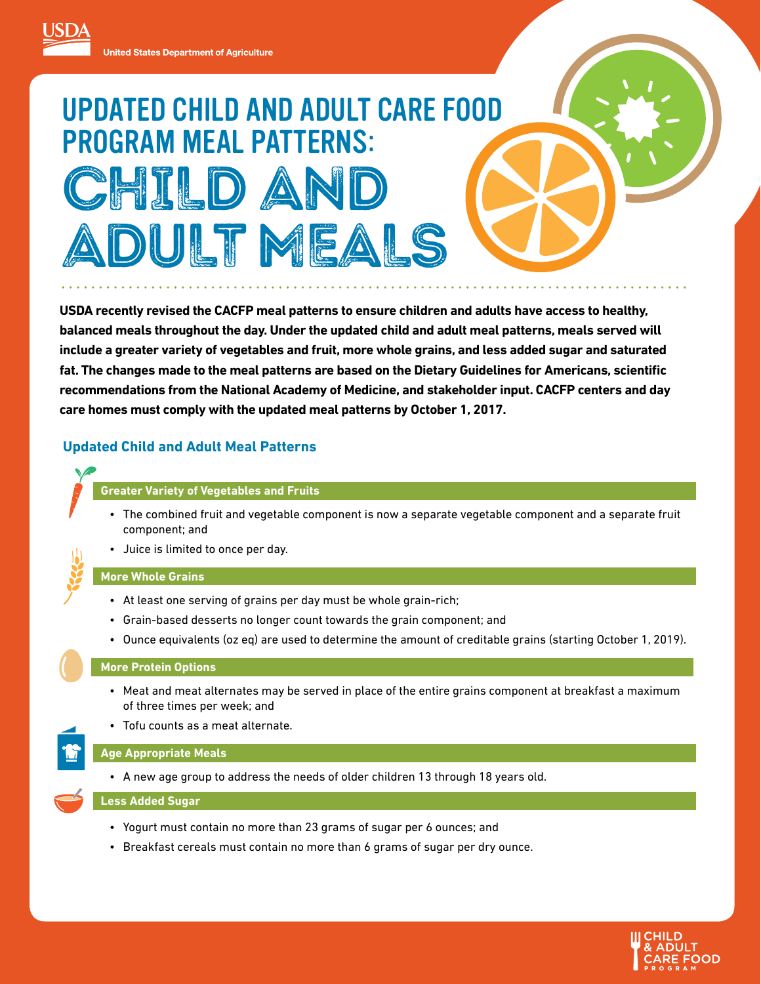# UPDATED CHILD AND ADULT CARE FOOD PROGRAM MEAL PATTERNS: CHILD AN DULT MEA

**USDA recently revised the CACFP meal patterns to ensure children and adults have access to healthy, balanced meals throughout the day. Under the updated child and adult meal patterns, meals served will include a greater variety of vegetables and fruit, more whole grains, and less added sugar and saturated fat. The changes made to the meal patterns are based on the Dietary Guidelines for Americans, scientific recommendations from the National Academy of Medicine, and stakeholder input. CACFP centers and day care homes must comply with the updated meal patterns by October 1, 2017.** 

# **Updated Child and Adult Meal Patterns**

# **Greater Variety of Vegetables and Fruits**

- The combined fruit and vegetable component is now a separate vegetable component and a separate fruit component; and
- Juice is limited to once per day.

# **More Whole Grains**

- At least one serving of grains per day must be whole grain-rich;
- Grain-based desserts no longer count towards the grain component; and
- Ounce equivalents (oz eq) are used to determine the amount of creditable grains (starting October 1, 2019).

# **More Protein Options**

- Meat and meat alternates may be served in place of the entire grains component at breakfast a maximum of three times per week; and
- Tofu counts as a meat alternate.

# **Age Appropriate Meals**

• A new age group to address the needs of older children 13 through 18 years old.

#### **Less Added Sugar**

- Yogurt must contain no more than 23 grams of sugar per 6 ounces; and
- Breakfast cereals must contain no more than 6 grams of sugar per dry ounce.